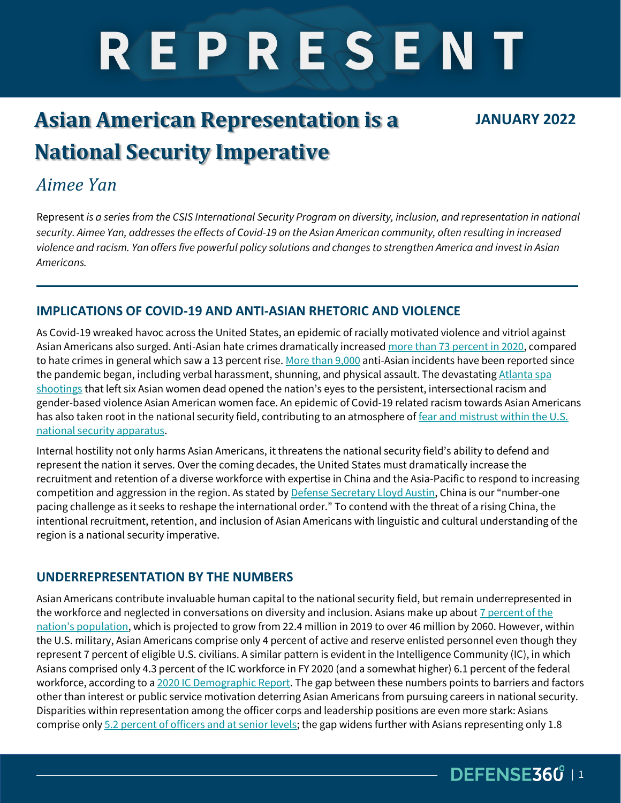# REPRESENT

## **Asian American Representation is a National Security Imperative**

#### **JANUARY 2022**

## *Aimee Yan*

Represent *is a series from the CSIS International Security Program on diversity, inclusion, and representation in national security. Aimee Yan, addresses the effects of Covid-19 on the Asian American community, often resulting in increased violence and racism. Yan offers five powerful policy solutions and changes to strengthen America and invest in Asian Americans.*

#### **IMPLICATIONS OF COVID-19 AND ANTI-ASIAN RHETORIC AND VIOLENCE**

As Covid-19 wreaked havoc across the United States, an epidemic of racially motivated violence and vitriol against Asian Americans also surged. Anti-Asian hate crimes dramatically increased [more than 73 percent in 2020,](https://www.nbcnews.com/news/asian-america/anti-asian-hate-crimes-rose-73-last-year-updated-fbi-data-says-rcna3741) compared to hate crimes in general which saw a 13 percent rise[. More than 9,000](https://www.google.com/url?sa=t&rct=j&q=&esrc=s&source=web&cd=&cad=rja&uact=8&ved=2ahUKEwi02eHIsrT0AhUUac0KHS7MAA8QFnoECAMQAQ&url=https%3A%2F%2Fwww.npr.org%2F2021%2F08%2F12%2F1027236499%2Fanti-asian-hate-crimes-assaults-pandemic-incidents-aapi&usg=AOvVaw0cPe5V1n-vXH6l30WZdVSO) anti-Asian incidents have been reported since the pandemic began, including verbal harassment, shunning, and physical assault. The devastating Atlanta spa [shootings](https://www.nytimes.com/2021/03/17/us/atlanta-spa-shootings.html) that left six Asian women dead opened the nation's eyes to the persistent, intersectional racism and gender-based violence Asian American women face. An epidemic of Covid-19 related racism towards Asian Americans has also taken root in the national security field, contributing to an atmosphere of fear and mistrust within the U.S. [national security apparatus.](https://responsiblestatecraft.org/2020/05/19/how-anti-asian-rhetoric-harms-us-national-security/)

Internal hostility not only harms Asian Americans, it threatens the national security field's ability to defend and represent the nation it serves. Over the coming decades, the United States must dramatically increase the recruitment and retention of a diverse workforce with expertise in China and the Asia-Pacific to respond to increasing competition and aggression in the region. As stated by [Defense Secretary Lloyd Austin](https://www.defense.gov/News/Transcripts/Transcript/Article/2573376/us-secretary-of-state-secretary-of-defense-and-nato-secretary-general-joint-pre/), China is our "number-one pacing challenge as it seeks to reshape the international order." To contend with the threat of a rising China, the intentional recruitment, retention, and inclusion of Asian Americans with linguistic and cultural understanding of the region is a national security imperative.

#### **UNDERREPRESENTATION BY THE NUMBERS**

Asian Americans contribute invaluable human capital to the national security field, but remain underrepresented in the workforce and neglected in conversations on diversity and inclusion. Asians make up about 7 percent of the [nation's population](https://www.pewresearch.org/fact-tank/2021/04/29/key-facts-about-asian-americans/), which is projected to grow from 22.4 million in 2019 to over 46 million by 2060. However, within the U.S. military, Asian Americans comprise only 4 percent of active and reserve enlisted personnel even though they represent 7 percent of eligible U.S. civilians. A similar pattern is evident in the Intelligence Community (IC), in which Asians comprised only 4.3 percent of the IC workforce in FY 2020 (and a somewhat higher) 6.1 percent of the federal workforce, according to a [2020 IC Demographic Report.](https://www.odni.gov/files/EEOD/documents/IC_Annual_Demographic_Report.pdf) The gap between these numbers points to barriers and factors other than interest or public service motivation deterring Asian Americans from pursuing careers in national security. Disparities within representation among the officer corps and leadership positions are even more stark: Asians comprise onl[y 5.2 percent of officers and at senior levels;](https://crsreports.congress.gov/product/pdf/R/R44321) the gap widens further with Asians representing only 1.8

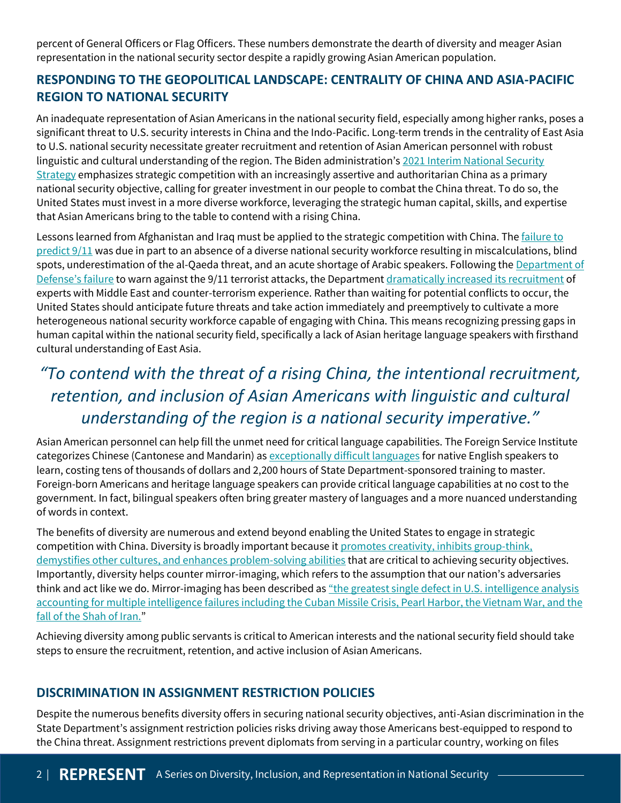percent of General Officers or Flag Officers. These numbers demonstrate the dearth of diversity and meager Asian representation in the national security sector despite a rapidly growing Asian American population.

#### **RESPONDING TO THE GEOPOLITICAL LANDSCAPE: CENTRALITY OF CHINA AND ASIA-PACIFIC REGION TO NATIONAL SECURITY**

An inadequate representation of Asian Americans in the national security field, especially among higher ranks, poses a significant threat to U.S. security interests in China and the Indo-Pacific. Long-term trends in the centrality of East Asia to U.S. national security necessitate greater recruitment and retention of Asian American personnel with robust linguistic and cultural understanding of the region. The Biden administration's 2021 Interim National Security [Strategy](https://www.whitehouse.gov/wp-content/uploads/2021/03/NSC-1v2.pdf) emphasizes strategic competition with an increasingly assertive and authoritarian China as a primary national security objective, calling for greater investment in our people to combat the China threat. To do so, the United States must invest in a more diverse workforce, leveraging the strategic human capital, skills, and expertise that Asian Americans bring to the table to contend with a rising China.

Lessons learned from Afghanistan and Iraq must be applied to the strategic competition with China. The *failure to* [predict 9/11](https://commons.law.famu.edu/cgi/viewcontent.cgi?article=1035&context=famulawreview) was due in part to an absence of a diverse national security workforce resulting in miscalculations, blind spots, underestimation of the al-Qaeda threat, and an acute shortage of Arabic speakers. Following the Department of Defense['s failure](https://commons.law.famu.edu/cgi/viewcontent.cgi?article=1035&context=famulawreview) to warn against the 9/11 terrorist attacks, the Department [dramatically increased its recruitment](https://thehill.com/blogs/congress-blog/politics/555991-a-more-diverse-public-service-is-a-national-security-imperative?rl=1) of experts with Middle East and counter-terrorism experience. Rather than waiting for potential conflicts to occur, the United States should anticipate future threats and take action immediately and preemptively to cultivate a more heterogeneous national security workforce capable of engaging with China. This means recognizing pressing gaps in human capital within the national security field, specifically a lack of Asian heritage language speakers with firsthand cultural understanding of East Asia.

## *"To contend with the threat of a rising China, the intentional recruitment, retention, and inclusion of Asian Americans with linguistic and cultural understanding of the region is a national security imperative."*

Asian American personnel can help fill the unmet need for critical language capabilities. The Foreign Service Institute categorizes Chinese (Cantonese and Mandarin) a[s exceptionally difficult languages](https://www.atlasandboots.com/foreign-service-institute-language-difficulty/) for native English speakers to learn, costing tens of thousands of dollars and 2,200 hours of State Department-sponsored training to master. Foreign-born Americans and heritage language speakers can provide critical language capabilities at no cost to the government. In fact, bilingual speakers often bring greater mastery of languages and a more nuanced understanding of words in context.

The benefits of diversity are numerous and extend beyond enabling the United States to engage in strategic competition with China. Diversity is broadly important because it [promotes creativity, inhibits group-think,](https://commons.law.famu.edu/cgi/viewcontent.cgi?article=1035&context=famulawreview)  [demystifies other cultures, and enhances problem-solving abilities](https://commons.law.famu.edu/cgi/viewcontent.cgi?article=1035&context=famulawreview) that are critical to achieving security objectives. Importantly, diversity helps counter mirror-imaging, which refers to the assumption that our nation's adversaries think and act like we do. Mirror-imaging has been described as ["the greatest single defect in U.S. intelligence analysis](https://commons.law.famu.edu/cgi/viewcontent.cgi?article=1035&context=famulawreview)  accounting for multiple intelligence failures including the Cuban Missile Crisis, Pearl Harbor, the Vietnam War, and the [fall of the Shah of Iran.](https://commons.law.famu.edu/cgi/viewcontent.cgi?article=1035&context=famulawreview)"

Achieving diversity among public servants is critical to American interests and the national security field should take steps to ensure the recruitment, retention, and active inclusion of Asian Americans.

#### **DISCRIMINATION IN ASSIGNMENT RESTRICTION POLICIES**

Despite the numerous benefits diversity offers in securing national security objectives, anti-Asian discrimination in the State Department's assignment restriction policies risks driving away those Americans best-equipped to respond to the China threat. Assignment restrictions prevent diplomats from serving in a particular country, working on files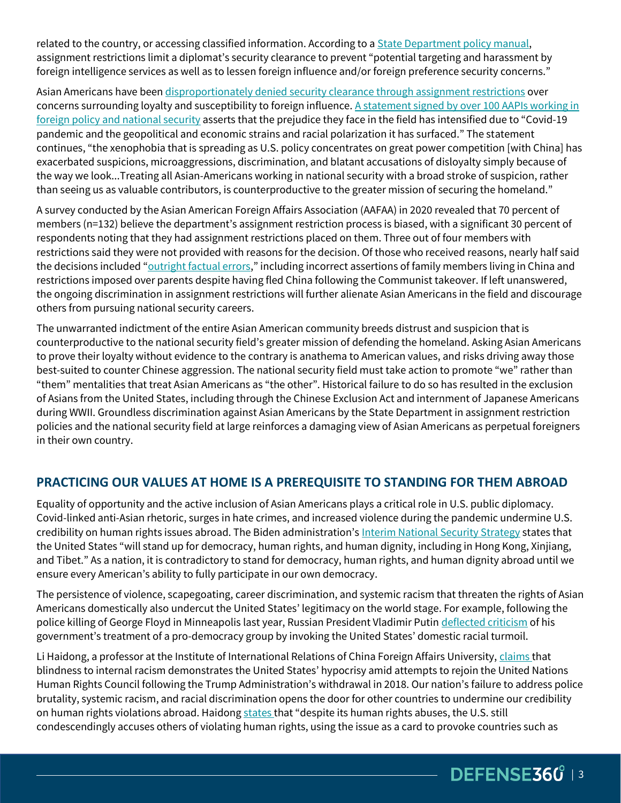related to the country, or accessing classified information. According to a [State Department policy manual,](https://fam.state.gov/FAM/12FAM/12FAM0230.html#M233_5) assignment restrictions limit a diplomat's security clearance to prevent "potential targeting and harassment by foreign intelligence services as well as to lessen foreign influence and/or foreign preference security concerns."

Asian Americans have been [disproportionately denied security clearance through assignment restrictions](https://thehill.com/homenews/administration/552887-asian-american-lawmakers-say-states-assignment-restrictions) over concerns surrounding loyalty and susceptibility to foreign influence. A statement signed by over 100 AAPIs working in [foreign policy and national security](https://docs.google.com/forms/d/e/1FAIpQLSeiE69q4M8Jk8JcQuBFiW102zzoz2kOkYICTrY5g1x2L50fGA/viewform) asserts that the prejudice they face in the field has intensified due to "Covid-19 pandemic and the geopolitical and economic strains and racial polarization it has surfaced." The statement continues, "the xenophobia that is spreading as U.S. policy concentrates on great power competition [with China] has exacerbated suspicions, microaggressions, discrimination, and blatant accusations of disloyalty simply because of the way we look...Treating all Asian-Americans working in national security with a broad stroke of suspicion, rather than seeing us as valuable contributors, is counterproductive to the greater mission of securing the homeland."

A survey conducted by the Asian American Foreign Affairs Association (AAFAA) in 2020 revealed that 70 percent of members (n=132) believe the department's assignment restriction process is biased, with a significant 30 percent of respondents noting that they had assignment restrictions placed on them. Three out of four members with restrictions said they were not provided with reasons for the decision. Of those who received reasons, nearly half said the decisions included "[outright factual errors](https://www.politico.com/news/2021/03/18/asian-americans-state-department-477106)," including incorrect assertions of family members living in China and restrictions imposed over parents despite having fled China following the Communist takeover. If left unanswered, the ongoing discrimination in assignment restrictions will further alienate Asian Americans in the field and discourage others from pursuing national security careers.

The unwarranted indictment of the entire Asian American community breeds distrust and suspicion that is counterproductive to the national security field's greater mission of defending the homeland. Asking Asian Americans to prove their loyalty without evidence to the contrary is anathema to American values, and risks driving away those best-suited to counter Chinese aggression. The national security field must take action to promote "we" rather than "them" mentalities that treat Asian Americans as "the other". Historical failure to do so has resulted in the exclusion of Asians from the United States, including through the Chinese Exclusion Act and internment of Japanese Americans during WWII. Groundless discrimination against Asian Americans by the State Department in assignment restriction policies and the national security field at large reinforces a damaging view of Asian Americans as perpetual foreigners in their own country.

#### **PRACTICING OUR VALUES AT HOME IS A PREREQUISITE TO STANDING FOR THEM ABROAD**

Equality of opportunity and the active inclusion of Asian Americans plays a critical role in U.S. public diplomacy. Covid-linked anti-Asian rhetoric, surges in hate crimes, and increased violence during the pandemic undermine U.S. credibility on human rights issues abroad. The Biden administration's [Interim National Security Strategy](https://www.whitehouse.gov/wp-content/uploads/2021/03/NSC-1v2.pdf) states that the United States "will stand up for democracy, human rights, and human dignity, including in Hong Kong, Xinjiang, and Tibet." As a nation, it is contradictory to stand for democracy, human rights, and human dignity abroad until we ensure every American's ability to fully participate in our own democracy.

The persistence of violence, scapegoating, career discrimination, and systemic racism that threaten the rights of Asian Americans domestically also undercut the United States' legitimacy on the world stage. For example, following the police killing of George Floyd in Minneapolis last year, Russian President Vladimir Putin [deflected criticism](https://www.nytimes.com/2021/06/16/opinion/world-dictators-american-racism.html) of his government's treatment of a pro-democracy group by invoking the United States' domestic racial turmoil.

Li Haidong, a professor at the Institute of International Relations of China Foreign Affairs University[, claims t](https://www.globaltimes.cn/page/202102/1216720.shtml)hat blindness to internal racism demonstrates the United States' hypocrisy amid attempts to rejoin the United Nations Human Rights Council following the Trump Administration's withdrawal in 2018. Our nation's failure to address police brutality, systemic racism, and racial discrimination opens the door for other countries to undermine our credibility on human rights violations abroad. Haidon[g states](https://www.globaltimes.cn/page/202102/1216720.shtml) that "despite its human rights abuses, the U.S. still condescendingly accuses others of violating human rights, using the issue as a card to provoke countries such as

DEFENSE360<sup>'</sup> | 3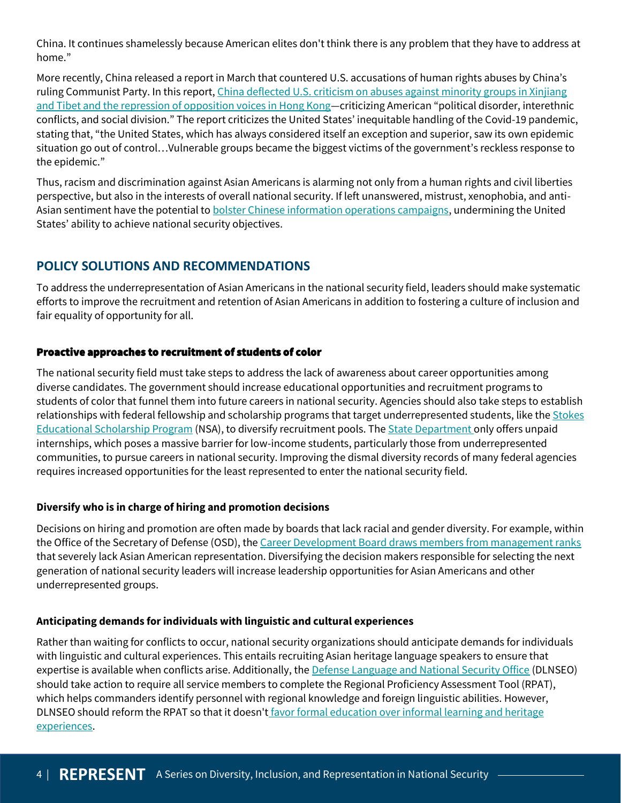China. It continues shamelessly because American elites don't think there is any problem that they have to address at home."

More recently, China released a report in March that countered U.S. accusations of human rights abuses by China's ruling Communist Party. In this report[, China deflected U.S. criticism on abuses against minority groups in Xinjiang](https://www.google.com/url?q=https://www.nytimes.com/2021/06/16/opinion/world-dictators-american-racism.html&sa=D&source=docs&ust=1640073206067775&usg=AOvVaw0FXLNLLRvIj0ozxhWWDSMW)  [and Tibet and the repression of opposition voices in Hong Kong](https://www.google.com/url?q=https://www.nytimes.com/2021/06/16/opinion/world-dictators-american-racism.html&sa=D&source=docs&ust=1640073206067775&usg=AOvVaw0FXLNLLRvIj0ozxhWWDSMW)—criticizing American "political disorder, interethnic conflicts, and social division." The report criticizes the United States' inequitable handling of the Covid-19 pandemic, stating that, "the United States, which has always considered itself an exception and superior, saw its own epidemic situation go out of control…Vulnerable groups became the biggest victims of the government's reckless response to the epidemic."

Thus, racism and discrimination against Asian Americans is alarming not only from a human rights and civil liberties perspective, but also in the interests of overall national security. If left unanswered, mistrust, xenophobia, and anti-Asian sentiment have the potential to **bolster Chinese information operations campaigns**, undermining the United States' ability to achieve national security objectives.

#### **POLICY SOLUTIONS AND RECOMMENDATIONS**

To address the underrepresentation of Asian Americans in the national security field, leaders should make systematic efforts to improve the recruitment and retention of Asian Americans in addition to fostering a culture of inclusion and fair equality of opportunity for all.

#### Proactive approaches to recruitment of students of color

The national security field must take steps to address the lack of awareness about career opportunities among diverse candidates. The government should increase educational opportunities and recruitment programs to students of color that funnel them into future careers in national security. Agencies should also take steps to establish relationships with federal fellowship and scholarship programs that target underrepresented students, like the Stokes [Educational Scholarship Program](https://www.intelligencecareers.gov/icstudents.html) (NSA), to diversify recruitment pools. Th[e State Department o](https://careers.state.gov/interns-fellows/student-internships/)nly offers unpaid internships, which poses a massive barrier for low-income students, particularly those from underrepresented communities, to pursue careers in national security. Improving the dismal diversity records of many federal agencies requires increased opportunities for the least represented to enter the national security field.

#### **Diversify who is in charge of hiring and promotion decisions**

Decisions on hiring and promotion are often made by boards that lack racial and gender diversity. For example, within the Office of the Secretary of Defense (OSD), th[e Career Development Board draws members from management ranks](https://thehill.com/blogs/congress-blog/politics/555991-a-more-diverse-public-service-is-a-national-security-imperative) that severely lack Asian American representation. Diversifying the decision makers responsible for selecting the next generation of national security leaders will increase leadership opportunities for Asian Americans and other underrepresented groups.

#### **Anticipating demands for individuals with linguistic and cultural experiences**

Rather than waiting for conflicts to occur, national security organizations should anticipate demands for individuals with linguistic and cultural experiences. This entails recruiting Asian heritage language speakers to ensure that expertise is available when conflicts arise. Additionally, th[e Defense Language and National Security Office](https://dlnseo.org/) (DLNSEO) should take action to require all service members to complete the Regional Proficiency Assessment Tool (RPAT), which helps commanders identify personnel with regional knowledge and foreign linguistic abilities. However, DLNSEO should reform the RPAT so that it doesn't favor formal education over informal learning and heritage [experiences.](https://www.armywarcollege.edu/news/Archives/13674.pdf)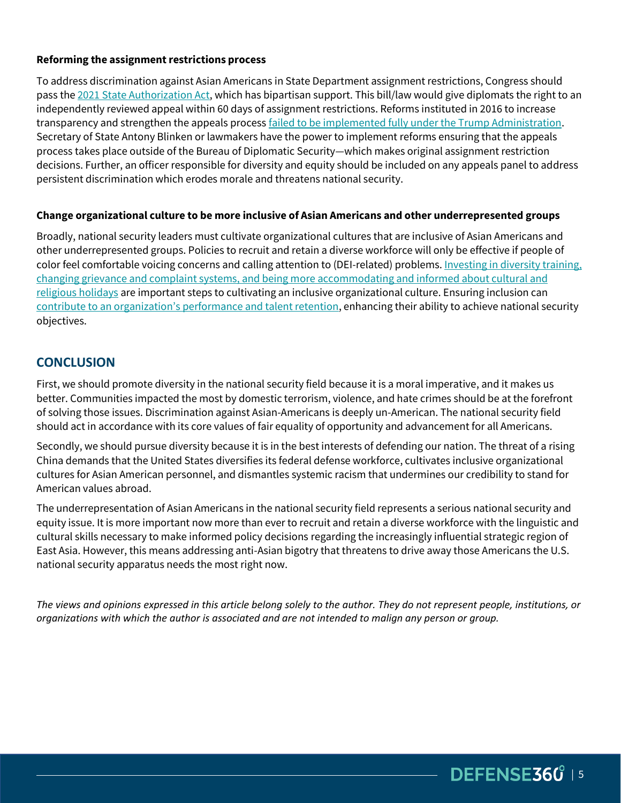#### **Reforming the assignment restrictions process**

To address discrimination against Asian Americans in State Department assignment restrictions, Congress should pass th[e 2021 State Authorization Act,](https://www.congress.gov/bill/117th-congress/house-bill/1157) which has bipartisan support. This bill/law would give diplomats the right to an independently reviewed appeal within 60 days of assignment restrictions. Reforms instituted in 2016 to increase transparency and strengthen the appeals process [failed to be implemented fully under the Trump Administration.](https://thehill.com/homenews/administration/552887-asian-american-lawmakers-say-states-assignment-restrictions?rl=1) Secretary of State Antony Blinken or lawmakers have the power to implement reforms ensuring that the appeals process takes place outside of the Bureau of Diplomatic Security—which makes original assignment restriction decisions. Further, an officer responsible for diversity and equity should be included on any appeals panel to address persistent discrimination which erodes morale and threatens national security.

#### **Change organizational culture to be more inclusive of Asian Americans and other underrepresented groups**

Broadly, national security leaders must cultivate organizational cultures that are inclusive of Asian Americans and other underrepresented groups. Policies to recruit and retain a diverse workforce will only be effective if people of color feel comfortable voicing concerns and calling attention to (DEI-related) problems. [Investing in diversity training,](https://www.forbes.com/sites/ashleystahl/2020/07/21/10-steps-businesses-can-take-to-improve-diversity-and-inclusion-in-the-workforce/?sh=529d5eaf343e)  [changing grievance and complaint systems, and being more accommodating and informed about cultural and](https://www.forbes.com/sites/ashleystahl/2020/07/21/10-steps-businesses-can-take-to-improve-diversity-and-inclusion-in-the-workforce/?sh=529d5eaf343e)  [religious holidays](https://www.forbes.com/sites/ashleystahl/2020/07/21/10-steps-businesses-can-take-to-improve-diversity-and-inclusion-in-the-workforce/?sh=529d5eaf343e) are important steps to cultivating an inclusive organizational culture. Ensuring inclusion can [contribute to an organization's performance and talent retention](https://www.mckinsey.com/business-functions/people-and-organizational-performance/our-insights/understanding-organizational-barriers-to-a-more-inclusive-workplace), enhancing their ability to achieve national security objectives.

#### **CONCLUSION**

First, we should promote diversity in the national security field because it is a moral imperative, and it makes us better. Communities impacted the most by domestic terrorism, violence, and hate crimes should be at the forefront of solving those issues. Discrimination against Asian-Americans is deeply un-American. The national security field should act in accordance with its core values of fair equality of opportunity and advancement for all Americans.

Secondly, we should pursue diversity because it is in the best interests of defending our nation. The threat of a rising China demands that the United States diversifies its federal defense workforce, cultivates inclusive organizational cultures for Asian American personnel, and dismantles systemic racism that undermines our credibility to stand for American values abroad.

The underrepresentation of Asian Americans in the national security field represents a serious national security and equity issue. It is more important now more than ever to recruit and retain a diverse workforce with the linguistic and cultural skills necessary to make informed policy decisions regarding the increasingly influential strategic region of East Asia. However, this means addressing anti-Asian bigotry that threatens to drive away those Americans the U.S. national security apparatus needs the most right now.

*The views and opinions expressed in this article belong solely to the author. They do not represent people, institutions, or organizations with which the author is associated and are not intended to malign any person or group.*

DEFENSE360<sup>'</sup> | 5